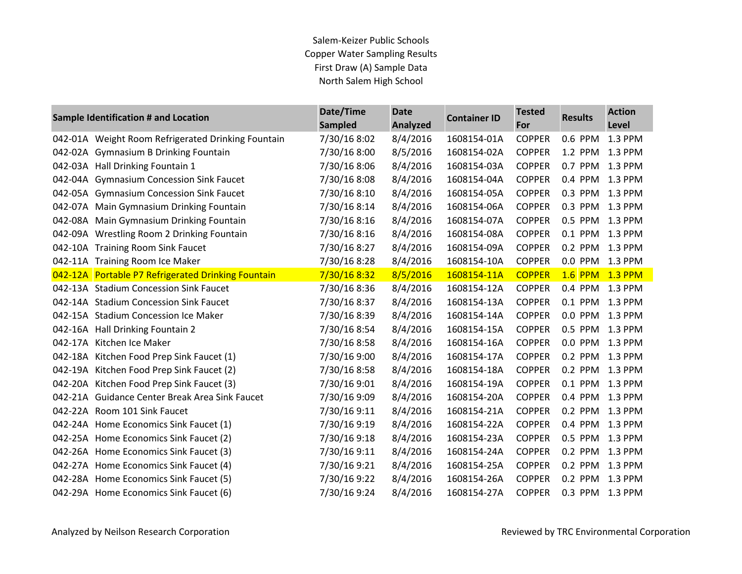| Sample Identification # and Location               | Date/Time<br>Sampled | <b>Date</b><br>Analyzed | <b>Container ID</b> | <b>Tested</b><br>For | <b>Results</b>  | <b>Action</b><br>Level |
|----------------------------------------------------|----------------------|-------------------------|---------------------|----------------------|-----------------|------------------------|
| 042-01A Weight Room Refrigerated Drinking Fountain | 7/30/16 8:02         | 8/4/2016                | 1608154-01A         | <b>COPPER</b>        | 0.6 PPM         | 1.3 PPM                |
| 042-02A Gymnasium B Drinking Fountain              | 7/30/16 8:00         | 8/5/2016                | 1608154-02A         | <b>COPPER</b>        | 1.2 PPM         | 1.3 PPM                |
| 042-03A Hall Drinking Fountain 1                   | 7/30/16 8:06         | 8/4/2016                | 1608154-03A         | <b>COPPER</b>        | 0.7 PPM 1.3 PPM |                        |
| 042-04A Gymnasium Concession Sink Faucet           | 7/30/16 8:08         | 8/4/2016                | 1608154-04A         | <b>COPPER</b>        | 0.4 PPM 1.3 PPM |                        |
| 042-05A Gymnasium Concession Sink Faucet           | 7/30/16 8:10         | 8/4/2016                | 1608154-05A         | <b>COPPER</b>        | 0.3 PPM         | 1.3 PPM                |
| 042-07A Main Gymnasium Drinking Fountain           | 7/30/16 8:14         | 8/4/2016                | 1608154-06A         | <b>COPPER</b>        | 0.3 PPM 1.3 PPM |                        |
| 042-08A Main Gymnasium Drinking Fountain           | 7/30/16 8:16         | 8/4/2016                | 1608154-07A         | <b>COPPER</b>        | 0.5 PPM         | 1.3 PPM                |
| 042-09A Wrestling Room 2 Drinking Fountain         | 7/30/16 8:16         | 8/4/2016                | 1608154-08A         | <b>COPPER</b>        | 0.1 PPM 1.3 PPM |                        |
| 042-10A Training Room Sink Faucet                  | 7/30/16 8:27         | 8/4/2016                | 1608154-09A         | <b>COPPER</b>        | 0.2 PPM 1.3 PPM |                        |
| 042-11A Training Room Ice Maker                    | 7/30/16 8:28         | 8/4/2016                | 1608154-10A         | <b>COPPER</b>        | 0.0 PPM 1.3 PPM |                        |
| 042-12A Portable P7 Refrigerated Drinking Fountain | 7/30/16 8:32         | 8/5/2016                | 1608154-11A         | <b>COPPER</b>        | <b>1.6 PPM</b>  | $1.3$ PPM              |
| 042-13A Stadium Concession Sink Faucet             | 7/30/16 8:36         | 8/4/2016                | 1608154-12A         | <b>COPPER</b>        | 0.4 PPM         | 1.3 PPM                |
| 042-14A Stadium Concession Sink Faucet             | 7/30/16 8:37         | 8/4/2016                | 1608154-13A         | <b>COPPER</b>        | 0.1 PPM 1.3 PPM |                        |
| 042-15A Stadium Concession Ice Maker               | 7/30/16 8:39         | 8/4/2016                | 1608154-14A         | <b>COPPER</b>        | $0.0$ PPM       | 1.3 PPM                |
| 042-16A Hall Drinking Fountain 2                   | 7/30/16 8:54         | 8/4/2016                | 1608154-15A         | <b>COPPER</b>        | 0.5 PPM 1.3 PPM |                        |
| 042-17A Kitchen Ice Maker                          | 7/30/16 8:58         | 8/4/2016                | 1608154-16A         | <b>COPPER</b>        | 0.0 PPM 1.3 PPM |                        |
| 042-18A Kitchen Food Prep Sink Faucet (1)          | 7/30/16 9:00         | 8/4/2016                | 1608154-17A         | <b>COPPER</b>        | 0.2 PPM 1.3 PPM |                        |
| 042-19A Kitchen Food Prep Sink Faucet (2)          | 7/30/16 8:58         | 8/4/2016                | 1608154-18A         | <b>COPPER</b>        | 0.2 PPM         | 1.3 PPM                |
| 042-20A Kitchen Food Prep Sink Faucet (3)          | 7/30/16 9:01         | 8/4/2016                | 1608154-19A         | <b>COPPER</b>        | 0.1 PPM 1.3 PPM |                        |
| 042-21A Guidance Center Break Area Sink Faucet     | 7/30/16 9:09         | 8/4/2016                | 1608154-20A         | <b>COPPER</b>        | 0.4 PPM 1.3 PPM |                        |
| 042-22A Room 101 Sink Faucet                       | 7/30/16 9:11         | 8/4/2016                | 1608154-21A         | <b>COPPER</b>        | 0.2 PPM         | 1.3 PPM                |
| 042-24A Home Economics Sink Faucet (1)             | 7/30/16 9:19         | 8/4/2016                | 1608154-22A         | <b>COPPER</b>        | 0.4 PPM 1.3 PPM |                        |
| 042-25A Home Economics Sink Faucet (2)             | 7/30/16 9:18         | 8/4/2016                | 1608154-23A         | <b>COPPER</b>        | 0.5 PPM         | 1.3 PPM                |
| 042-26A Home Economics Sink Faucet (3)             | 7/30/16 9:11         | 8/4/2016                | 1608154-24A         | <b>COPPER</b>        | 0.2 PPM         | 1.3 PPM                |
| 042-27A Home Economics Sink Faucet (4)             | 7/30/16 9:21         | 8/4/2016                | 1608154-25A         | <b>COPPER</b>        | $0.2$ PPM       | 1.3 PPM                |
| 042-28A Home Economics Sink Faucet (5)             | 7/30/16 9:22         | 8/4/2016                | 1608154-26A         | <b>COPPER</b>        | 0.2 PPM         | 1.3 PPM                |
| 042-29A Home Economics Sink Faucet (6)             | 7/30/16 9:24         | 8/4/2016                | 1608154-27A         | <b>COPPER</b>        | 0.3 PPM 1.3 PPM |                        |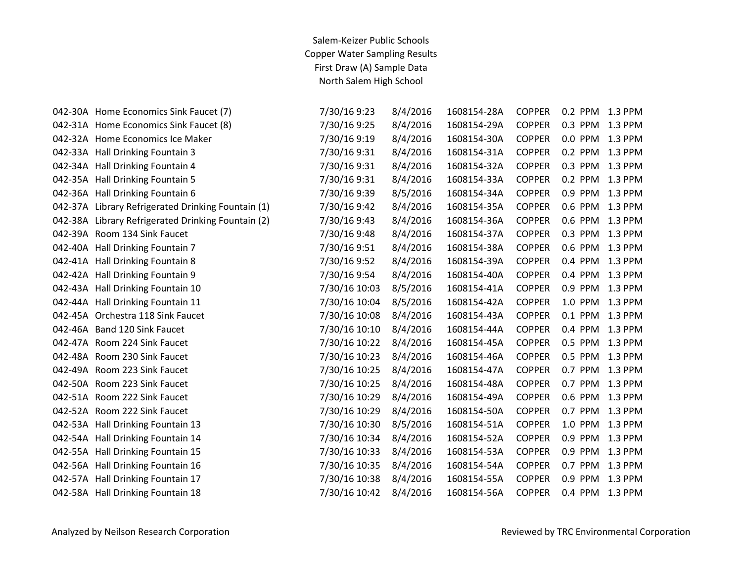| 7/30/16 9:23                                                                                                                                                                                                                                                                                                                                                                                                                                                                                                                                                                                                                                                                                                                                                                                                                                                                                                                                                                                                                                                                                              | 8/4/2016 | 1608154-28A | <b>COPPER</b> | 0.2 PPM | 1.3 PPM |
|-----------------------------------------------------------------------------------------------------------------------------------------------------------------------------------------------------------------------------------------------------------------------------------------------------------------------------------------------------------------------------------------------------------------------------------------------------------------------------------------------------------------------------------------------------------------------------------------------------------------------------------------------------------------------------------------------------------------------------------------------------------------------------------------------------------------------------------------------------------------------------------------------------------------------------------------------------------------------------------------------------------------------------------------------------------------------------------------------------------|----------|-------------|---------------|---------|---------|
| 7/30/16 9:25                                                                                                                                                                                                                                                                                                                                                                                                                                                                                                                                                                                                                                                                                                                                                                                                                                                                                                                                                                                                                                                                                              | 8/4/2016 | 1608154-29A | <b>COPPER</b> | 0.3 PPM | 1.3 PPM |
| 7/30/16 9:19                                                                                                                                                                                                                                                                                                                                                                                                                                                                                                                                                                                                                                                                                                                                                                                                                                                                                                                                                                                                                                                                                              | 8/4/2016 | 1608154-30A | <b>COPPER</b> | 0.0 PPM | 1.3 PPM |
| 7/30/16 9:31                                                                                                                                                                                                                                                                                                                                                                                                                                                                                                                                                                                                                                                                                                                                                                                                                                                                                                                                                                                                                                                                                              | 8/4/2016 | 1608154-31A | <b>COPPER</b> | 0.2 PPM | 1.3 PPM |
| 7/30/16 9:31                                                                                                                                                                                                                                                                                                                                                                                                                                                                                                                                                                                                                                                                                                                                                                                                                                                                                                                                                                                                                                                                                              | 8/4/2016 | 1608154-32A | <b>COPPER</b> | 0.3 PPM | 1.3 PPM |
| 7/30/16 9:31                                                                                                                                                                                                                                                                                                                                                                                                                                                                                                                                                                                                                                                                                                                                                                                                                                                                                                                                                                                                                                                                                              | 8/4/2016 | 1608154-33A | <b>COPPER</b> | 0.2 PPM | 1.3 PPM |
| 7/30/16 9:39                                                                                                                                                                                                                                                                                                                                                                                                                                                                                                                                                                                                                                                                                                                                                                                                                                                                                                                                                                                                                                                                                              | 8/5/2016 | 1608154-34A | <b>COPPER</b> | 0.9 PPM | 1.3 PPM |
| 7/30/16 9:42                                                                                                                                                                                                                                                                                                                                                                                                                                                                                                                                                                                                                                                                                                                                                                                                                                                                                                                                                                                                                                                                                              | 8/4/2016 | 1608154-35A | <b>COPPER</b> | 0.6 PPM | 1.3 PPM |
| 7/30/16 9:43                                                                                                                                                                                                                                                                                                                                                                                                                                                                                                                                                                                                                                                                                                                                                                                                                                                                                                                                                                                                                                                                                              | 8/4/2016 | 1608154-36A | <b>COPPER</b> | 0.6 PPM | 1.3 PPM |
| 7/30/16 9:48                                                                                                                                                                                                                                                                                                                                                                                                                                                                                                                                                                                                                                                                                                                                                                                                                                                                                                                                                                                                                                                                                              | 8/4/2016 | 1608154-37A | <b>COPPER</b> | 0.3 PPM | 1.3 PPM |
| 7/30/16 9:51                                                                                                                                                                                                                                                                                                                                                                                                                                                                                                                                                                                                                                                                                                                                                                                                                                                                                                                                                                                                                                                                                              | 8/4/2016 | 1608154-38A | <b>COPPER</b> | 0.6 PPM | 1.3 PPM |
| 7/30/16 9:52                                                                                                                                                                                                                                                                                                                                                                                                                                                                                                                                                                                                                                                                                                                                                                                                                                                                                                                                                                                                                                                                                              | 8/4/2016 | 1608154-39A | <b>COPPER</b> | 0.4 PPM | 1.3 PPM |
| 7/30/16 9:54                                                                                                                                                                                                                                                                                                                                                                                                                                                                                                                                                                                                                                                                                                                                                                                                                                                                                                                                                                                                                                                                                              | 8/4/2016 | 1608154-40A | <b>COPPER</b> | 0.4 PPM | 1.3 PPM |
| 7/30/16 10:03                                                                                                                                                                                                                                                                                                                                                                                                                                                                                                                                                                                                                                                                                                                                                                                                                                                                                                                                                                                                                                                                                             | 8/5/2016 | 1608154-41A | <b>COPPER</b> | 0.9 PPM | 1.3 PPM |
| 7/30/16 10:04                                                                                                                                                                                                                                                                                                                                                                                                                                                                                                                                                                                                                                                                                                                                                                                                                                                                                                                                                                                                                                                                                             | 8/5/2016 | 1608154-42A | <b>COPPER</b> | 1.0 PPM | 1.3 PPM |
| 7/30/16 10:08                                                                                                                                                                                                                                                                                                                                                                                                                                                                                                                                                                                                                                                                                                                                                                                                                                                                                                                                                                                                                                                                                             | 8/4/2016 | 1608154-43A | <b>COPPER</b> | 0.1 PPM | 1.3 PPM |
| 7/30/16 10:10                                                                                                                                                                                                                                                                                                                                                                                                                                                                                                                                                                                                                                                                                                                                                                                                                                                                                                                                                                                                                                                                                             | 8/4/2016 | 1608154-44A | <b>COPPER</b> | 0.4 PPM | 1.3 PPM |
| 7/30/16 10:22                                                                                                                                                                                                                                                                                                                                                                                                                                                                                                                                                                                                                                                                                                                                                                                                                                                                                                                                                                                                                                                                                             | 8/4/2016 | 1608154-45A | <b>COPPER</b> | 0.5 PPM | 1.3 PPM |
| 7/30/16 10:23                                                                                                                                                                                                                                                                                                                                                                                                                                                                                                                                                                                                                                                                                                                                                                                                                                                                                                                                                                                                                                                                                             | 8/4/2016 | 1608154-46A | <b>COPPER</b> | 0.5 PPM | 1.3 PPM |
| 7/30/16 10:25                                                                                                                                                                                                                                                                                                                                                                                                                                                                                                                                                                                                                                                                                                                                                                                                                                                                                                                                                                                                                                                                                             | 8/4/2016 | 1608154-47A | <b>COPPER</b> | 0.7 PPM | 1.3 PPM |
| 7/30/16 10:25                                                                                                                                                                                                                                                                                                                                                                                                                                                                                                                                                                                                                                                                                                                                                                                                                                                                                                                                                                                                                                                                                             | 8/4/2016 | 1608154-48A | <b>COPPER</b> | 0.7 PPM | 1.3 PPM |
| 7/30/16 10:29                                                                                                                                                                                                                                                                                                                                                                                                                                                                                                                                                                                                                                                                                                                                                                                                                                                                                                                                                                                                                                                                                             | 8/4/2016 | 1608154-49A | <b>COPPER</b> | 0.6 PPM | 1.3 PPM |
| 7/30/16 10:29                                                                                                                                                                                                                                                                                                                                                                                                                                                                                                                                                                                                                                                                                                                                                                                                                                                                                                                                                                                                                                                                                             | 8/4/2016 | 1608154-50A | <b>COPPER</b> | 0.7 PPM | 1.3 PPM |
| 7/30/16 10:30                                                                                                                                                                                                                                                                                                                                                                                                                                                                                                                                                                                                                                                                                                                                                                                                                                                                                                                                                                                                                                                                                             | 8/5/2016 | 1608154-51A | <b>COPPER</b> | 1.0 PPM | 1.3 PPM |
| 7/30/16 10:34                                                                                                                                                                                                                                                                                                                                                                                                                                                                                                                                                                                                                                                                                                                                                                                                                                                                                                                                                                                                                                                                                             | 8/4/2016 | 1608154-52A | <b>COPPER</b> | 0.9 PPM | 1.3 PPM |
| 7/30/16 10:33                                                                                                                                                                                                                                                                                                                                                                                                                                                                                                                                                                                                                                                                                                                                                                                                                                                                                                                                                                                                                                                                                             | 8/4/2016 | 1608154-53A | <b>COPPER</b> | 0.9 PPM | 1.3 PPM |
| 7/30/16 10:35                                                                                                                                                                                                                                                                                                                                                                                                                                                                                                                                                                                                                                                                                                                                                                                                                                                                                                                                                                                                                                                                                             | 8/4/2016 | 1608154-54A | <b>COPPER</b> | 0.7 PPM | 1.3 PPM |
| 7/30/16 10:38                                                                                                                                                                                                                                                                                                                                                                                                                                                                                                                                                                                                                                                                                                                                                                                                                                                                                                                                                                                                                                                                                             | 8/4/2016 | 1608154-55A | <b>COPPER</b> | 0.9 PPM | 1.3 PPM |
| 7/30/16 10:42                                                                                                                                                                                                                                                                                                                                                                                                                                                                                                                                                                                                                                                                                                                                                                                                                                                                                                                                                                                                                                                                                             | 8/4/2016 | 1608154-56A | <b>COPPER</b> | 0.4 PPM | 1.3 PPM |
| 042-30A Home Economics Sink Faucet (7)<br>042-31A Home Economics Sink Faucet (8)<br>042-32A Home Economics Ice Maker<br>042-33A Hall Drinking Fountain 3<br>042-34A Hall Drinking Fountain 4<br>042-35A Hall Drinking Fountain 5<br>042-36A Hall Drinking Fountain 6<br>042-37A Library Refrigerated Drinking Fountain (1)<br>042-38A Library Refrigerated Drinking Fountain (2)<br>042-39A Room 134 Sink Faucet<br>042-40A Hall Drinking Fountain 7<br>042-41A Hall Drinking Fountain 8<br>042-42A Hall Drinking Fountain 9<br>042-43A Hall Drinking Fountain 10<br>042-44A Hall Drinking Fountain 11<br>042-45A Orchestra 118 Sink Faucet<br>042-46A Band 120 Sink Faucet<br>042-47A Room 224 Sink Faucet<br>042-48A Room 230 Sink Faucet<br>042-49A Room 223 Sink Faucet<br>042-50A Room 223 Sink Faucet<br>042-51A Room 222 Sink Faucet<br>042-52A Room 222 Sink Faucet<br>042-53A Hall Drinking Fountain 13<br>042-54A Hall Drinking Fountain 14<br>042-55A Hall Drinking Fountain 15<br>042-56A Hall Drinking Fountain 16<br>042-57A Hall Drinking Fountain 17<br>042-58A Hall Drinking Fountain 18 |          |             |               |         |         |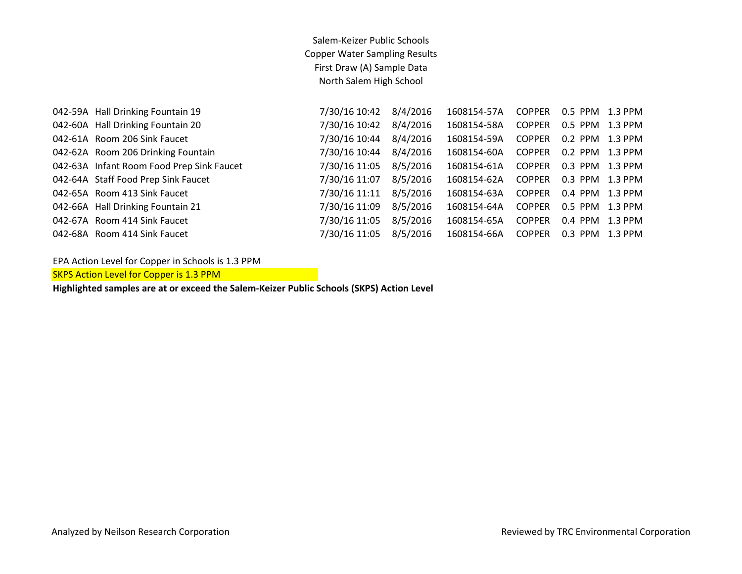| 042-59A Hall Drinking Fountain 19         | 7/30/16 10:42 | 8/4/2016 | 1608154-57A | <b>COPPER</b> | 0.5 PPM 1.3 PPM |           |
|-------------------------------------------|---------------|----------|-------------|---------------|-----------------|-----------|
| 042-60A Hall Drinking Fountain 20         | 7/30/16 10:42 | 8/4/2016 | 1608154-58A | <b>COPPER</b> | 0.5 PPM         | $1.3$ PPM |
| 042-61A Room 206 Sink Faucet              | 7/30/16 10:44 | 8/4/2016 | 1608154-59A | <b>COPPER</b> | $0.2$ PPM       | 1.3 PPM   |
| 042-62A Room 206 Drinking Fountain        | 7/30/16 10:44 | 8/4/2016 | 1608154-60A | <b>COPPER</b> | $0.2$ PPM       | 1.3 PPM   |
| 042-63A Infant Room Food Prep Sink Faucet | 7/30/16 11:05 | 8/5/2016 | 1608154-61A | <b>COPPER</b> | 0.3 PPM         | 1.3 PPM   |
| 042-64A Staff Food Prep Sink Faucet       | 7/30/16 11:07 | 8/5/2016 | 1608154-62A | <b>COPPER</b> | 0.3 PPM         | 1.3 PPM   |
| 042-65A Room 413 Sink Faucet              | 7/30/16 11:11 | 8/5/2016 | 1608154-63A | <b>COPPER</b> | 0.4 PPM         | $1.3$ PPM |
| 042-66A Hall Drinking Fountain 21         | 7/30/16 11:09 | 8/5/2016 | 1608154-64A | <b>COPPER</b> | 0.5 PPM         | 1.3 PPM   |
| 042-67A Room 414 Sink Faucet              | 7/30/16 11:05 | 8/5/2016 | 1608154-65A | <b>COPPER</b> | $0.4$ PPM       | $1.3$ PPM |
| 042-68A Room 414 Sink Faucet              | 7/30/16 11:05 | 8/5/2016 | 1608154-66A | <b>COPPER</b> | 0.3 PPM         | 1.3 PPM   |
|                                           |               |          |             |               |                 |           |

EPA Action Level for Copper in Schools is 1.3 PPM

SKPS Action Level for Copper is 1.3 PPM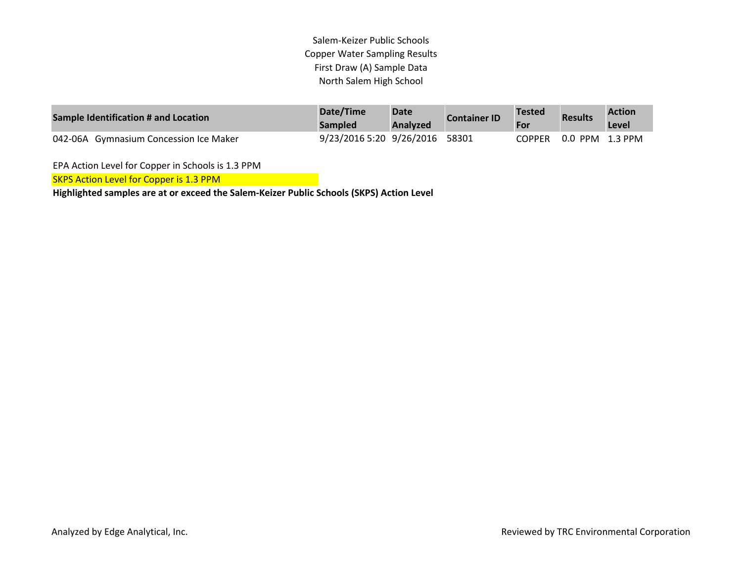| Sample Identification # and Location   | Date/Time<br><b>Sampled</b>    | <b>Date</b><br><b>Analyzed</b> | <b>Container ID</b> | <b>Tested</b><br>For | <b>Results</b>  | <b>Action</b><br>Level |
|----------------------------------------|--------------------------------|--------------------------------|---------------------|----------------------|-----------------|------------------------|
| 042-06A Gymnasium Concession Ice Maker | 9/23/2016 5:20 9/26/2016 58301 |                                |                     | COPPER               | 0.0 PPM 1.3 PPM |                        |

EPA Action Level for Copper in Schools is 1.3 PPM

SKPS Action Level for Copper is 1.3 PPM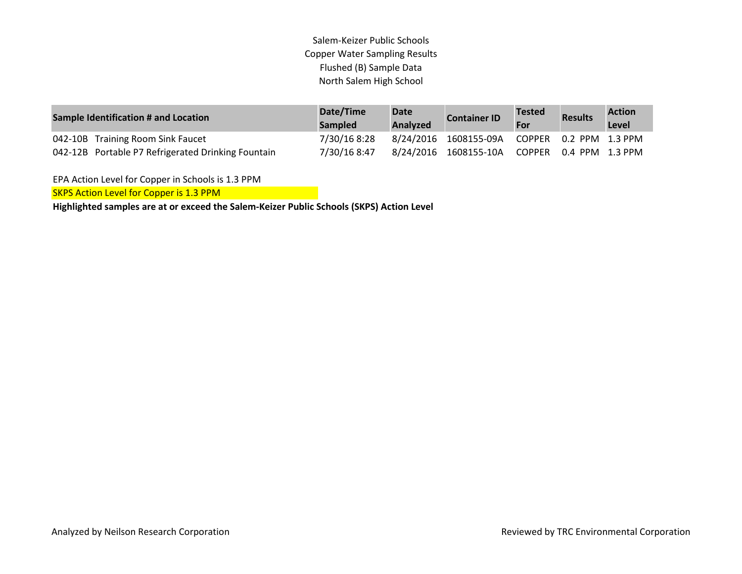| Sample Identification # and Location               | Date/Time<br><b>Sampled</b> | <b>Date</b><br><b>Analyzed</b> | <b>Container ID</b>                          | <b>Tested</b><br>For | <b>Results</b> | <b>Action</b><br>Level |
|----------------------------------------------------|-----------------------------|--------------------------------|----------------------------------------------|----------------------|----------------|------------------------|
| 042-10B Training Room Sink Faucet                  | 7/30/16 8:28                |                                | 8/24/2016 1608155-09A COPPER 0.2 PPM 1.3 PPM |                      |                |                        |
| 042-12B Portable P7 Refrigerated Drinking Fountain | 7/30/16 8:47                |                                | 8/24/2016 1608155-10A COPPER 0.4 PPM 1.3 PPM |                      |                |                        |

EPA Action Level for Copper in Schools is 1.3 PPM

**SKPS Action Level for Copper is 1.3 PPM**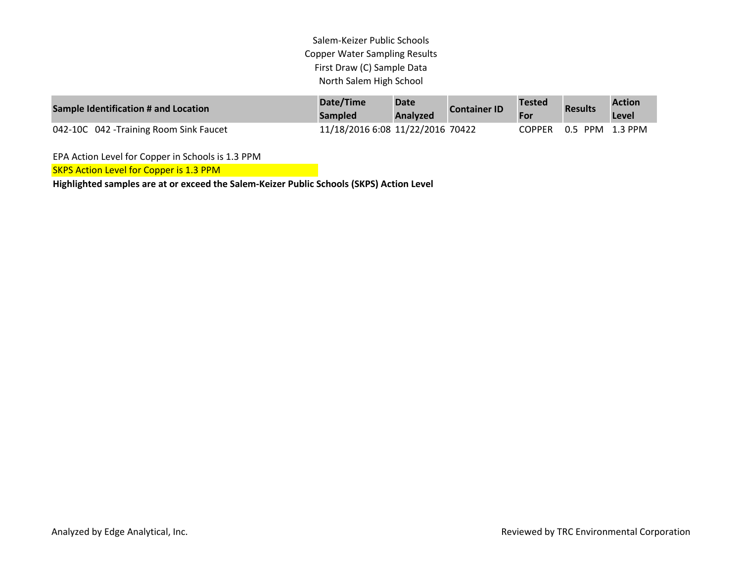| Sample Identification # and Location    | Date/Time<br><b>Sampled</b>      | <b>Date</b><br><b>Analyzed</b> | <b>Container ID</b> | Tested        | <b>Results</b>  | <b>Action</b><br>Level |
|-----------------------------------------|----------------------------------|--------------------------------|---------------------|---------------|-----------------|------------------------|
| 042-10C 042 - Training Room Sink Faucet | 11/18/2016 6:08 11/22/2016 70422 |                                |                     | <b>COPPER</b> | 0.5 PPM 1.3 PPM |                        |

EPA Action Level for Copper in Schools is 1.3 PPM

SKPS Action Level for Copper is 1.3 PPM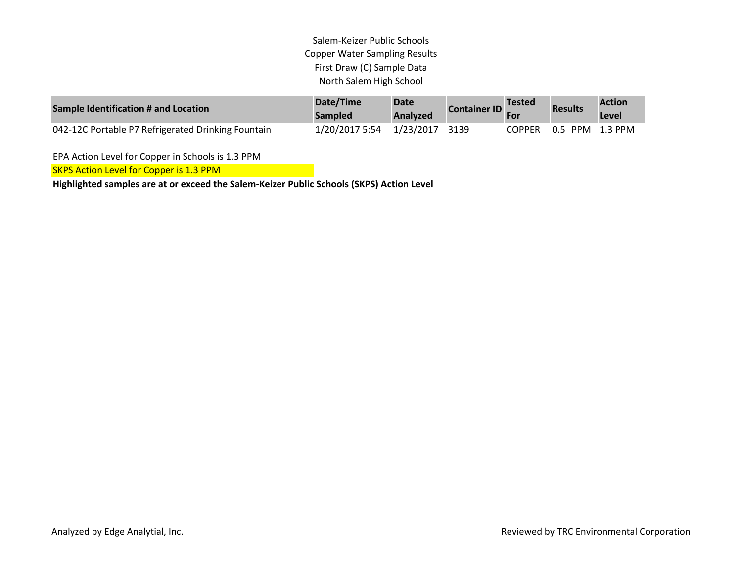| Sample Identification # and Location               | Date/Time<br><b>Sampled</b>   | <b>Date</b><br><b>Analyzed</b> | <b>Container ID</b> | ⊿Tested | <b>Results</b>         | <b>Action</b><br>Level |
|----------------------------------------------------|-------------------------------|--------------------------------|---------------------|---------|------------------------|------------------------|
| 042-12C Portable P7 Refrigerated Drinking Fountain | 1/20/2017 5:54 1/23/2017 3139 |                                |                     |         | COPPER 0.5 PPM 1.3 PPM |                        |

EPA Action Level for Copper in Schools is 1.3 PPM

SKPS Action Level for Copper is 1.3 PPM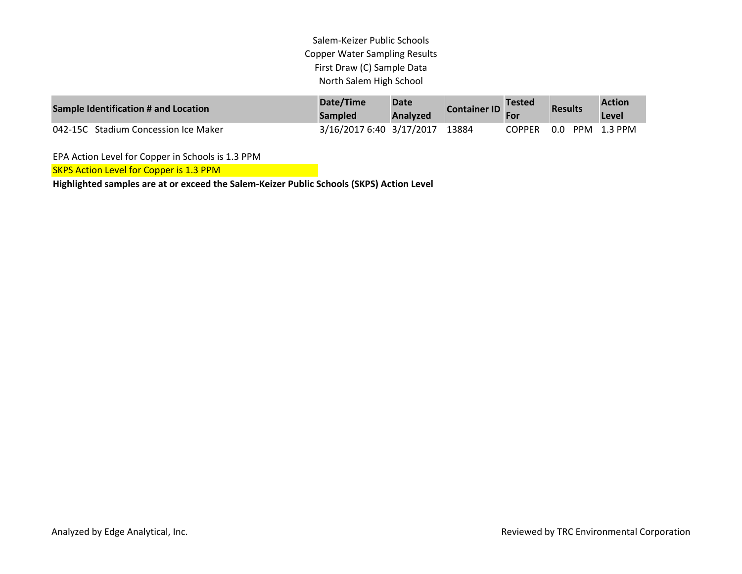| Sample Identification # and Location | Date/Time<br><b>Sampled</b> | <b>Date</b><br>Analyzed | <b>Container ID</b> | <b>Tested</b> | <b>Results</b> | <b>Action</b><br>Level |
|--------------------------------------|-----------------------------|-------------------------|---------------------|---------------|----------------|------------------------|
| 042-15C Stadium Concession Ice Maker | 3/16/2017 6:40 3/17/2017    |                         | 13884               | <b>COPPER</b> | 0.0            | PPM 1.3 PPM            |

EPA Action Level for Copper in Schools is 1.3 PPM

SKPS Action Level for Copper is 1.3 PPM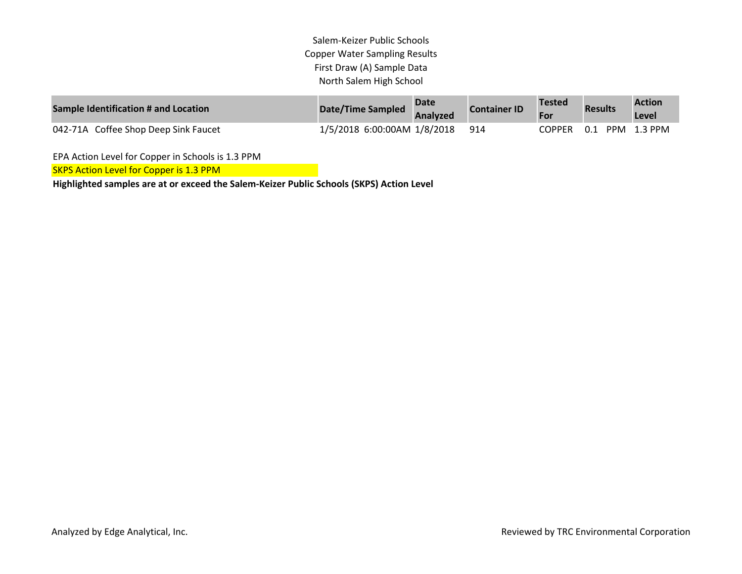| Sample Identification # and Location | Date/Time Sampled           | <b>Date</b><br>Analyzed | <b>Container ID</b> | <b>Tested</b><br>For | <b>Results</b>  | <b>Action</b><br>Level |
|--------------------------------------|-----------------------------|-------------------------|---------------------|----------------------|-----------------|------------------------|
| 042-71A Coffee Shop Deep Sink Faucet | 1/5/2018 6:00:00AM 1/8/2018 |                         | -914                | COPPER               | 0.1 PPM 1.3 PPM |                        |

EPA Action Level for Copper in Schools is 1.3 PPM

SKPS Action Level for Copper is 1.3 PPM